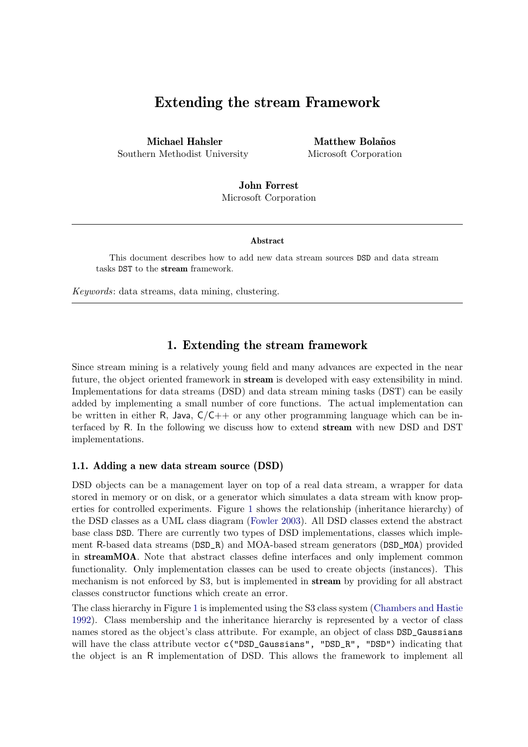# Extending the stream Framework

Michael Hahsler Southern Methodist University

Matthew Bolaños Microsoft Corporation

John Forrest Microsoft Corporation

#### Abstract

This document describes how to add new data stream sources DSD and data stream tasks DST to the stream framework.

Keywords: data streams, data mining, clustering.

## 1. Extending the stream framework

Since stream mining is a relatively young field and many advances are expected in the near future, the object oriented framework in **stream** is developed with easy extensibility in mind. Implementations for data streams (DSD) and data stream mining tasks (DST) can be easily added by implementing a small number of core functions. The actual implementation can be written in either R, Java,  $C/C++$  or any other programming language which can be interfaced by R. In the following we discuss how to extend stream with new DSD and DST implementations.

#### 1.1. Adding a new data stream source (DSD)

DSD objects can be a management layer on top of a real data stream, a wrapper for data stored in memory or on disk, or a generator which simulates a data stream with know properties for controlled experiments. Figure [1](#page-1-0) shows the relationship (inheritance hierarchy) of the DSD classes as a UML class diagram [\(Fowler](#page-7-0) [2003\)](#page-7-0). All DSD classes extend the abstract base class DSD. There are currently two types of DSD implementations, classes which implement R-based data streams (DSD\_R) and MOA-based stream generators (DSD\_MOA) provided in streamMOA. Note that abstract classes define interfaces and only implement common functionality. Only implementation classes can be used to create objects (instances). This mechanism is not enforced by S3, but is implemented in stream by providing for all abstract classes constructor functions which create an error.

The class hierarchy in Figure [1](#page-1-0) is implemented using the S3 class system [\(Chambers and Hastie](#page-7-1) [1992\)](#page-7-1). Class membership and the inheritance hierarchy is represented by a vector of class names stored as the object's class attribute. For example, an object of class DSD\_Gaussians will have the class attribute vector c("DSD\_Gaussians", "DSD\_R", "DSD") indicating that the object is an R implementation of DSD. This allows the framework to implement all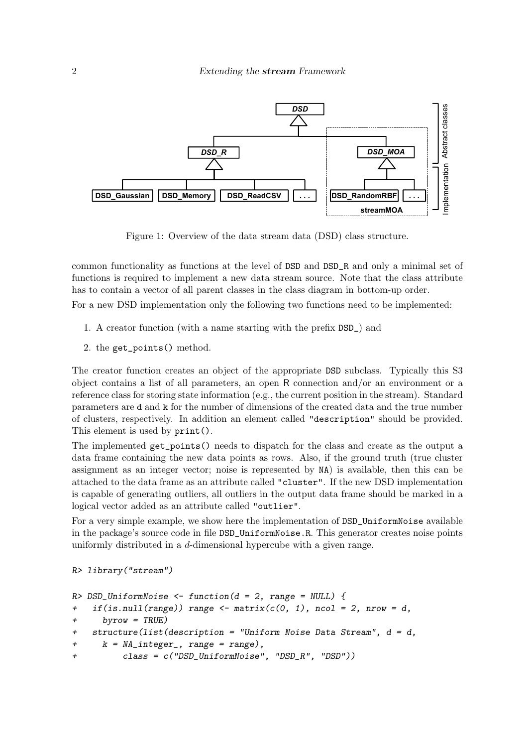

<span id="page-1-0"></span>Figure 1: Overview of the data stream data (DSD) class structure.

common functionality as functions at the level of DSD and DSD\_R and only a minimal set of functions is required to implement a new data stream source. Note that the class attribute has to contain a vector of all parent classes in the class diagram in bottom-up order.

For a new DSD implementation only the following two functions need to be implemented:

- 1. A creator function (with a name starting with the prefix DSD\_) and
- 2. the get\_points() method.

The creator function creates an object of the appropriate DSD subclass. Typically this S3 object contains a list of all parameters, an open R connection and/or an environment or a reference class for storing state information (e.g., the current position in the stream). Standard parameters are d and k for the number of dimensions of the created data and the true number of clusters, respectively. In addition an element called "description" should be provided. This element is used by print().

The implemented get\_points() needs to dispatch for the class and create as the output a data frame containing the new data points as rows. Also, if the ground truth (true cluster assignment as an integer vector; noise is represented by NA) is available, then this can be attached to the data frame as an attribute called "cluster". If the new DSD implementation is capable of generating outliers, all outliers in the output data frame should be marked in a logical vector added as an attribute called "outlier".

For a very simple example, we show here the implementation of  $\texttt{DSD\_UniformNoise}$  available in the package's source code in file DSD\_UniformNoise.R. This generator creates noise points uniformly distributed in a d-dimensional hypercube with a given range.

```
R> library("stream")
```

```
R> DSD_UniformNoise \le function(d = 2, range = NULL) {
+ if(is.null(range)) range \leq matrix(c(0, 1), ncol = 2, nrow = d,
     byrow = TRUE)
   structure(list(description = "Uniform Noise Data Stream", d = d,+ k = NA\_integer_, range = range),
+ class = c("DSD_UniformNoise", "DSD_R", "DSD"))
```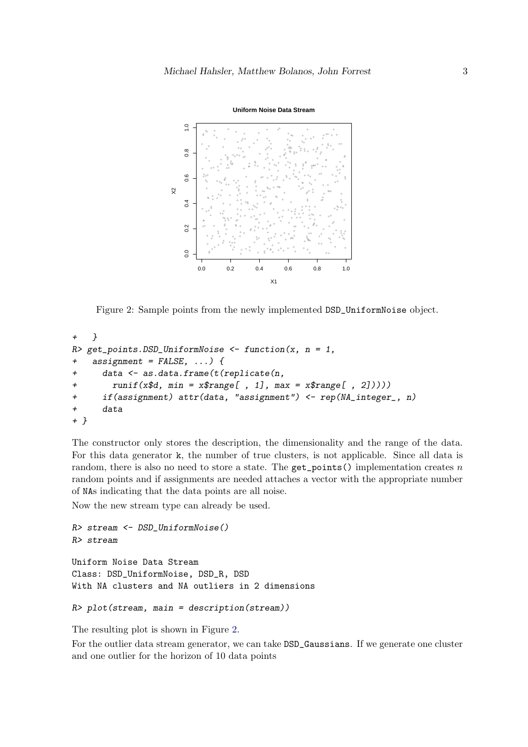

<span id="page-2-0"></span>Figure 2: Sample points from the newly implemented DSD\_UniformNoise object.

```
+ }
R> get_points.DSD_UniformNoise <- function(x, n = 1,
+ assignment = FALSE, ...) {
     data <- as.data.frame(t(replicate(n,
+ runif(x$d, min = x$range[ , 1], max = x$range[ , 2]))))
     if(assignment) attr(data, "assignment") < - rep(MLinteger, n)+ data
+ }
```
The constructor only stores the description, the dimensionality and the range of the data. For this data generator k, the number of true clusters, is not applicable. Since all data is random, there is also no need to store a state. The  $get\_points()$  implementation creates n random points and if assignments are needed attaches a vector with the appropriate number of NAs indicating that the data points are all noise.

Now the new stream type can already be used.

```
R> stream <- DSD_UniformNoise()
R> stream
Uniform Noise Data Stream
Class: DSD_UniformNoise, DSD_R, DSD
With NA clusters and NA outliers in 2 dimensions
```

```
R> plot(stream, main = description(stream))
```
The resulting plot is shown in Figure [2.](#page-2-0)

For the outlier data stream generator, we can take DSD\_Gaussians. If we generate one cluster and one outlier for the horizon of 10 data points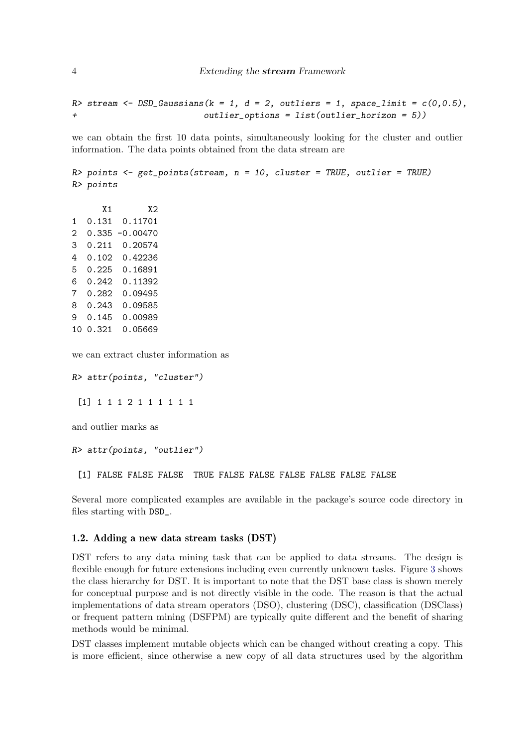R> stream  $\leq$  DSD\_Gaussians(k = 1, d = 2, outliers = 1, space\_limit =  $c(0,0.5)$ , + outlier\_options = list(outlier\_horizon = 5))

we can obtain the first 10 data points, simultaneously looking for the cluster and outlier information. The data points obtained from the data stream are

```
R> points <- get_points(stream, n = 10, cluster = TRUE, outlier = TRUE)
R> points
```
X1 X2 1 0.131 0.11701 2 0.335 -0.00470 3 0.211 0.20574 4 0.102 0.42236 5 0.225 0.16891 6 0.242 0.11392 7 0.282 0.09495 8 0.243 0.09585 9 0.145 0.00989 10 0.321 0.05669

we can extract cluster information as

```
R> attr(points, "cluster")
```
[1] 1 1 1 2 1 1 1 1 1 1

and outlier marks as

R> attr(points, "outlier")

[1] FALSE FALSE FALSE TRUE FALSE FALSE FALSE FALSE FALSE FALSE

Several more complicated examples are available in the package's source code directory in files starting with DSD\_.

#### 1.2. Adding a new data stream tasks (DST)

DST refers to any data mining task that can be applied to data streams. The design is flexible enough for future extensions including even currently unknown tasks. Figure [3](#page-4-0) shows the class hierarchy for DST. It is important to note that the DST base class is shown merely for conceptual purpose and is not directly visible in the code. The reason is that the actual implementations of data stream operators (DSO), clustering (DSC), classification (DSClass) or frequent pattern mining (DSFPM) are typically quite different and the benefit of sharing methods would be minimal.

DST classes implement mutable objects which can be changed without creating a copy. This is more efficient, since otherwise a new copy of all data structures used by the algorithm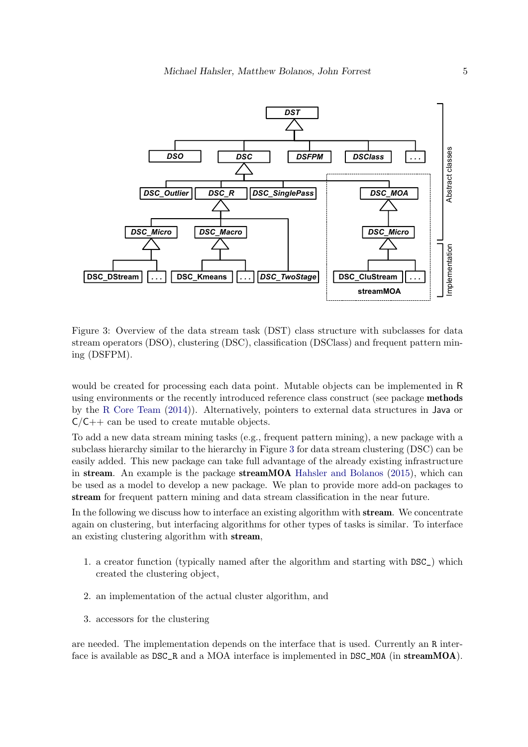

<span id="page-4-0"></span>Figure 3: Overview of the data stream task (DST) class structure with subclasses for data stream operators (DSO), clustering (DSC), classification (DSClass) and frequent pattern mining (DSFPM).

would be created for processing each data point. Mutable objects can be implemented in R using environments or the recently introduced reference class construct (see package methods by the [R Core Team](#page-7-2) [\(2014\)](#page-7-2)). Alternatively, pointers to external data structures in Java or  $C/C++$  can be used to create mutable objects.

To add a new data stream mining tasks (e.g., frequent pattern mining), a new package with a subclass hierarchy similar to the hierarchy in Figure [3](#page-4-0) for data stream clustering (DSC) can be easily added. This new package can take full advantage of the already existing infrastructure in stream. An example is the package streamMOA [Hahsler and Bolanos](#page-7-3) [\(2015\)](#page-7-3), which can be used as a model to develop a new package. We plan to provide more add-on packages to stream for frequent pattern mining and data stream classification in the near future.

In the following we discuss how to interface an existing algorithm with **stream**. We concentrate again on clustering, but interfacing algorithms for other types of tasks is similar. To interface an existing clustering algorithm with stream,

- 1. a creator function (typically named after the algorithm and starting with DSC\_) which created the clustering object,
- 2. an implementation of the actual cluster algorithm, and
- 3. accessors for the clustering

are needed. The implementation depends on the interface that is used. Currently an R interface is available as DSC<sub>\_R</sub> and a MOA interface is implemented in DSC\_MOA (in streamMOA).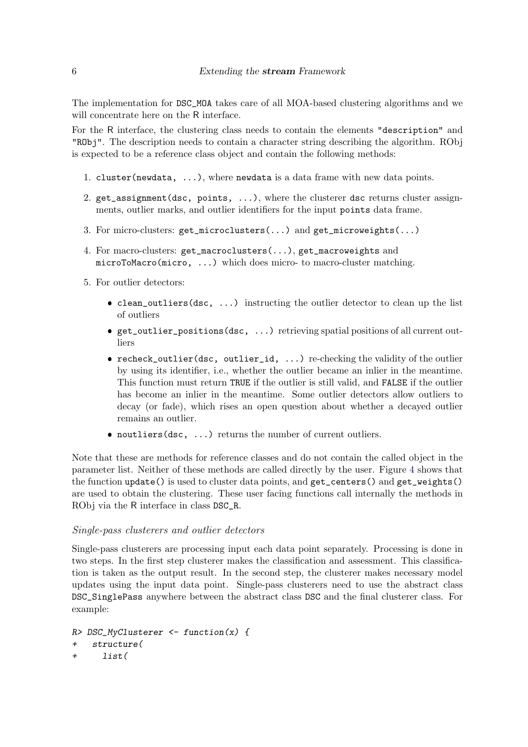The implementation for DSC\_MOA takes care of all MOA-based clustering algorithms and we will concentrate here on the R interface.

For the R interface, the clustering class needs to contain the elements "description" and "RObj". The description needs to contain a character string describing the algorithm. RObj is expected to be a reference class object and contain the following methods:

- 1. cluster(newdata,  $\dots$ ), where newdata is a data frame with new data points.
- 2. get\_assignment(dsc, points, ...), where the clusterer dsc returns cluster assignments, outlier marks, and outlier identifiers for the input points data frame.
- 3. For micro-clusters: get\_microclusters(...) and get\_microweights(...)
- 4. For macro-clusters: get\_macroclusters(...), get\_macroweights and microToMacro(micro, ...) which does micro- to macro-cluster matching.
- 5. For outlier detectors:
	- clean\_outliers(dsc, ...) instructing the outlier detector to clean up the list of outliers
	- get\_outlier\_positions(dsc, ...) retrieving spatial positions of all current outliers
	- recheck\_outlier(dsc, outlier\_id, ...) re-checking the validity of the outlier by using its identifier, i.e., whether the outlier became an inlier in the meantime. This function must return TRUE if the outlier is still valid, and FALSE if the outlier has become an inlier in the meantime. Some outlier detectors allow outliers to decay (or fade), which rises an open question about whether a decayed outlier remains an outlier.
	- noutliers(dsc, ...) returns the number of current outliers.

Note that these are methods for reference classes and do not contain the called object in the parameter list. Neither of these methods are called directly by the user. Figure [4](#page-6-0) shows that the function update() is used to cluster data points, and get\_centers() and get\_weights() are used to obtain the clustering. These user facing functions call internally the methods in RObj via the R interface in class DSC\_R.

#### Single-pass clusterers and outlier detectors

Single-pass clusterers are processing input each data point separately. Processing is done in two steps. In the first step clusterer makes the classification and assessment. This classification is taken as the output result. In the second step, the clusterer makes necessary model updates using the input data point. Single-pass clusterers need to use the abstract class DSC\_SinglePass anywhere between the abstract class DSC and the final clusterer class. For example:

```
R> DSC_MyClusterer <- function(x) {
+ structure(
+ list(
```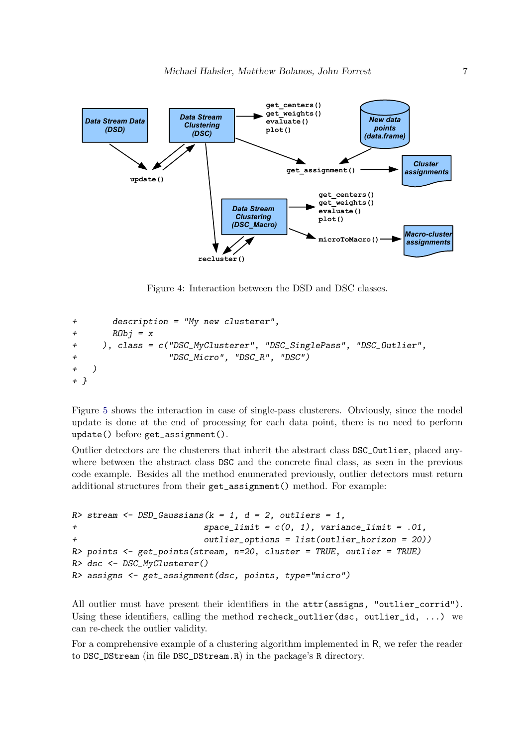

<span id="page-6-0"></span>Figure 4: Interaction between the DSD and DSC classes.

```
+ description = "My new clusterer",
+ RObj = x+ ), class = c("DSC_MyClusterer", "DSC_SinglePass", "DSC_Outlier",
+ "DSC_Micro", "DSC_R", "DSC")
+ )
+ }
```
Figure [5](#page-7-4) shows the interaction in case of single-pass clusterers. Obviously, since the model update is done at the end of processing for each data point, there is no need to perform update() before get\_assignment().

Outlier detectors are the clusterers that inherit the abstract class DSC\_Outlier, placed anywhere between the abstract class DSC and the concrete final class, as seen in the previous code example. Besides all the method enumerated previously, outlier detectors must return additional structures from their get\_assignment() method. For example:

```
R> stream \leq DSD_Gaussians(k = 1, d = 2, outliers = 1,
+ space_limit = c(0, 1), variance_limit = .01,
+ outlier_options = list(outlier_horizon = 20))
R> points \leq get_points(stream, n=20, cluster = TRUE, outlier = TRUE)
R> dsc <- DSC_MyClusterer()
R> assigns <- get_assignment(dsc, points, type="micro")
```
All outlier must have present their identifiers in the attr(assigns, "outlier\_corrid"). Using these identifiers, calling the method recheck\_outlier(dsc, outlier\_id,  $\ldots$ ) we can re-check the outlier validity.

For a comprehensive example of a clustering algorithm implemented in R, we refer the reader to DSC\_DStream (in file DSC\_DStream.R) in the package's R directory.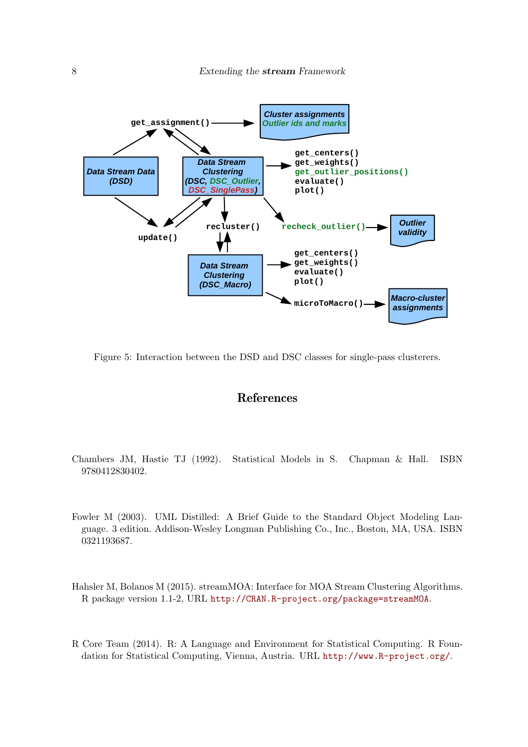

<span id="page-7-4"></span>Figure 5: Interaction between the DSD and DSC classes for single-pass clusterers.

## References

- <span id="page-7-1"></span>Chambers JM, Hastie TJ (1992). Statistical Models in S. Chapman & Hall. ISBN 9780412830402.
- <span id="page-7-0"></span>Fowler M (2003). UML Distilled: A Brief Guide to the Standard Object Modeling Language. 3 edition. Addison-Wesley Longman Publishing Co., Inc., Boston, MA, USA. ISBN 0321193687.
- <span id="page-7-3"></span>Hahsler M, Bolanos M (2015). streamMOA: Interface for MOA Stream Clustering Algorithms. R package version 1.1-2, URL <http://CRAN.R-project.org/package=streamMOA>.
- <span id="page-7-2"></span>R Core Team (2014). R: A Language and Environment for Statistical Computing. R Foundation for Statistical Computing, Vienna, Austria. URL <http://www.R-project.org/>.